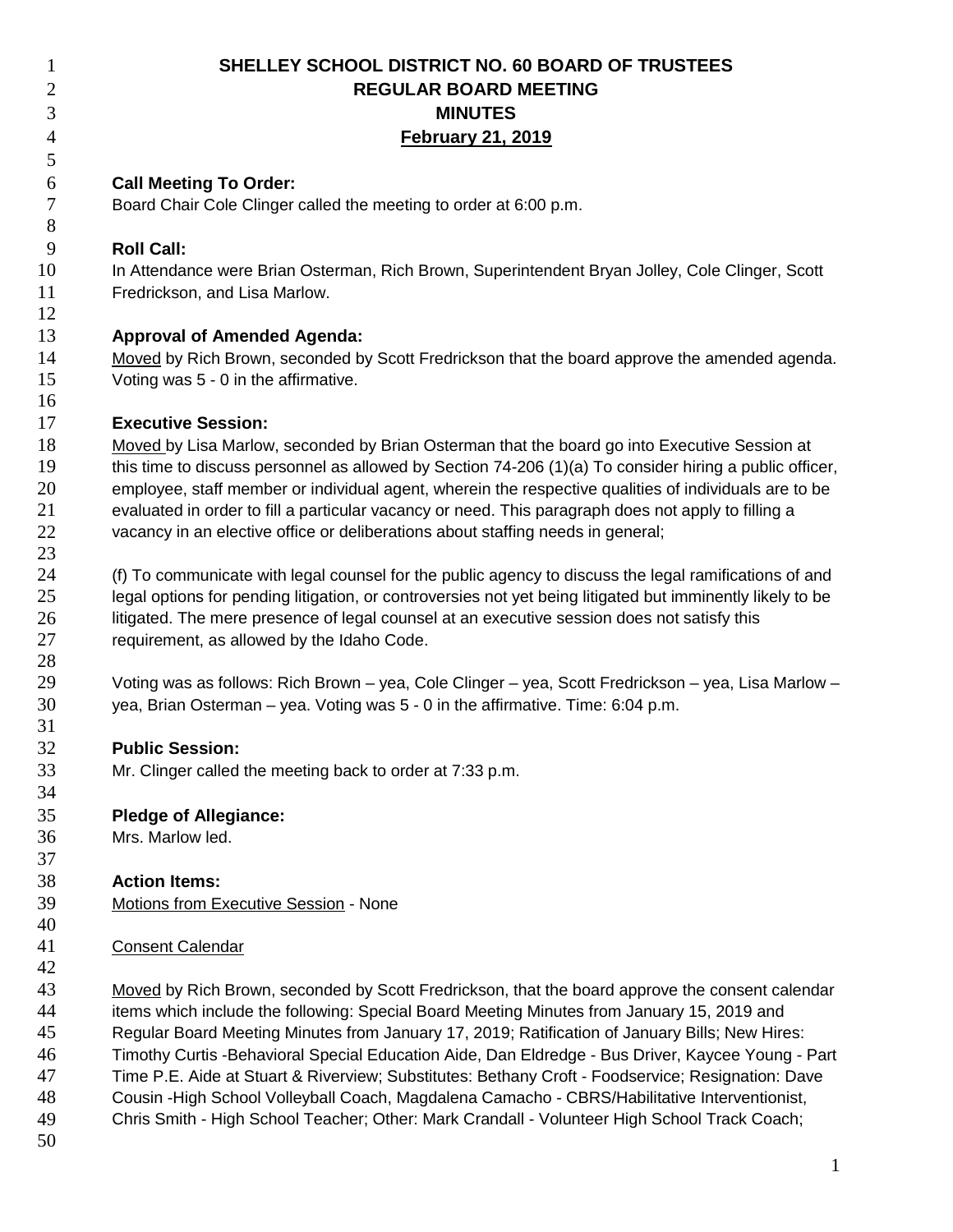| $\mathbf{1}$     | SHELLEY SCHOOL DISTRICT NO. 60 BOARD OF TRUSTEES                                                           |
|------------------|------------------------------------------------------------------------------------------------------------|
| $\overline{c}$   | <b>REGULAR BOARD MEETING</b>                                                                               |
| 3                | <b>MINUTES</b>                                                                                             |
| $\overline{4}$   | <b>February 21, 2019</b>                                                                                   |
| 5                |                                                                                                            |
| 6                | <b>Call Meeting To Order:</b>                                                                              |
| $\boldsymbol{7}$ | Board Chair Cole Clinger called the meeting to order at 6:00 p.m.                                          |
| $8\,$            |                                                                                                            |
| 9                | <b>Roll Call:</b>                                                                                          |
| 10               | In Attendance were Brian Osterman, Rich Brown, Superintendent Bryan Jolley, Cole Clinger, Scott            |
| 11               | Fredrickson, and Lisa Marlow.                                                                              |
| 12               |                                                                                                            |
| 13               | <b>Approval of Amended Agenda:</b>                                                                         |
| 14               | Moved by Rich Brown, seconded by Scott Fredrickson that the board approve the amended agenda.              |
| 15               | Voting was 5 - 0 in the affirmative.                                                                       |
| 16               |                                                                                                            |
| 17               | <b>Executive Session:</b>                                                                                  |
| 18               | Moved by Lisa Marlow, seconded by Brian Osterman that the board go into Executive Session at               |
| 19               | this time to discuss personnel as allowed by Section 74-206 (1)(a) To consider hiring a public officer,    |
| 20               | employee, staff member or individual agent, wherein the respective qualities of individuals are to be      |
| 21               | evaluated in order to fill a particular vacancy or need. This paragraph does not apply to filling a        |
| 22               | vacancy in an elective office or deliberations about staffing needs in general;                            |
| 23               |                                                                                                            |
| 24               | (f) To communicate with legal counsel for the public agency to discuss the legal ramifications of and      |
| 25               | legal options for pending litigation, or controversies not yet being litigated but imminently likely to be |
| 26               | litigated. The mere presence of legal counsel at an executive session does not satisfy this                |
| 27               | requirement, as allowed by the Idaho Code.                                                                 |
| 28               |                                                                                                            |
| 29               | Voting was as follows: Rich Brown – yea, Cole Clinger – yea, Scott Fredrickson – yea, Lisa Marlow –        |
| 30               | yea, Brian Osterman – yea. Voting was 5 - 0 in the affirmative. Time: 6:04 p.m.                            |
| 31               |                                                                                                            |
| 32               | <b>Public Session:</b>                                                                                     |
| 33               | Mr. Clinger called the meeting back to order at 7:33 p.m.                                                  |
| 34               |                                                                                                            |
| 35               | <b>Pledge of Allegiance:</b>                                                                               |
| 36               | Mrs. Marlow led.                                                                                           |
| 37               |                                                                                                            |
| 38               | <b>Action Items:</b>                                                                                       |
| 39               | Motions from Executive Session - None                                                                      |
| 40               |                                                                                                            |
| 41               | <b>Consent Calendar</b>                                                                                    |
| 42               |                                                                                                            |
| 43               | Moved by Rich Brown, seconded by Scott Fredrickson, that the board approve the consent calendar            |
| 44               | items which include the following: Special Board Meeting Minutes from January 15, 2019 and                 |
| 45               | Regular Board Meeting Minutes from January 17, 2019; Ratification of January Bills; New Hires:             |
| 46               | Timothy Curtis -Behavioral Special Education Aide, Dan Eldredge - Bus Driver, Kaycee Young - Part          |
| 47               | Time P.E. Aide at Stuart & Riverview; Substitutes: Bethany Croft - Foodservice; Resignation: Dave          |
| 48               | Cousin - High School Volleyball Coach, Magdalena Camacho - CBRS/Habilitative Interventionist,              |

 Chris Smith - High School Teacher; Other: Mark Crandall - Volunteer High School Track Coach; 49

50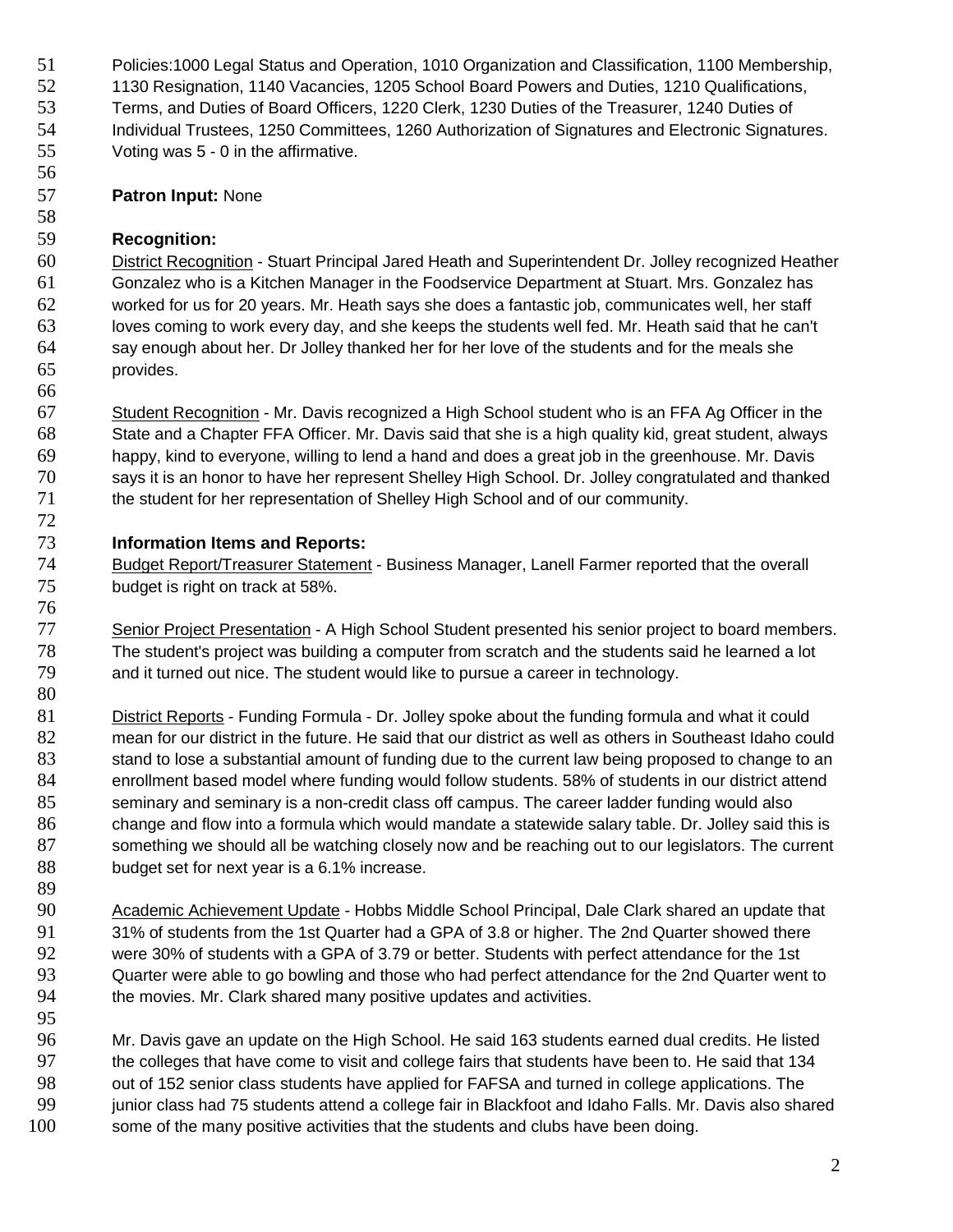- Policies:1000 Legal Status and Operation, 1010 Organization and Classification, 1100 Membership,
- 1130 Resignation, 1140 Vacancies, 1205 School Board Powers and Duties, 1210 Qualifications,
- Terms, and Duties of Board Officers, 1220 Clerk, 1230 Duties of the Treasurer, 1240 Duties of
- Individual Trustees, 1250 Committees, 1260 Authorization of Signatures and Electronic Signatures. Voting was 5 - 0 in the affirmative.
- 

# **Patron Input:** None

### **Recognition:**

60 District Recognition - Stuart Principal Jared Heath and Superintendent Dr. Jolley recognized Heather Gonzalez who is a Kitchen Manager in the Foodservice Department at Stuart. Mrs. Gonzalez has worked for us for 20 years. Mr. Heath says she does a fantastic job, communicates well, her staff loves coming to work every day, and she keeps the students well fed. Mr. Heath said that he can't say enough about her. Dr Jolley thanked her for her love of the students and for the meals she provides.

67 Student Recognition - Mr. Davis recognized a High School student who is an FFA Ag Officer in the State and a Chapter FFA Officer. Mr. Davis said that she is a high quality kid, great student, always happy, kind to everyone, willing to lend a hand and does a great job in the greenhouse. Mr. Davis says it is an honor to have her represent Shelley High School. Dr. Jolley congratulated and thanked the student for her representation of Shelley High School and of our community.

# **Information Items and Reports:**

- 74 Budget Report/Treasurer Statement Business Manager, Lanell Farmer reported that the overall budget is right on track at 58%.
- 77 Senior Project Presentation A High School Student presented his senior project to board members. The student's project was building a computer from scratch and the students said he learned a lot and it turned out nice. The student would like to pursue a career in technology.
- 81 District Reports Funding Formula Dr. Jolley spoke about the funding formula and what it could mean for our district in the future. He said that our district as well as others in Southeast Idaho could 83 stand to lose a substantial amount of funding due to the current law being proposed to change to an enrollment based model where funding would follow students. 58% of students in our district attend seminary and seminary is a non-credit class off campus. The career ladder funding would also change and flow into a formula which would mandate a statewide salary table. Dr. Jolley said this is something we should all be watching closely now and be reaching out to our legislators. The current budget set for next year is a 6.1% increase.
- 90 Academic Achievement Update Hobbs Middle School Principal, Dale Clark shared an update that 94 the movies. Mr. Clark shared many positive updates and activities. 31% of students from the 1st Quarter had a GPA of 3.8 or higher. The 2nd Quarter showed there were 30% of students with a GPA of 3.79 or better. Students with perfect attendance for the 1st 93 Quarter were able to go bowling and those who had perfect attendance for the 2nd Quarter went to
- Mr. Davis gave an update on the High School. He said 163 students earned dual credits. He listed the colleges that have come to visit and college fairs that students have been to. He said that 134 out of 152 senior class students have applied for FAFSA and turned in college applications. The 99 junior class had 75 students attend a college fair in Blackfoot and Idaho Falls. Mr. Davis also shared some of the many positive activities that the students and clubs have been doing.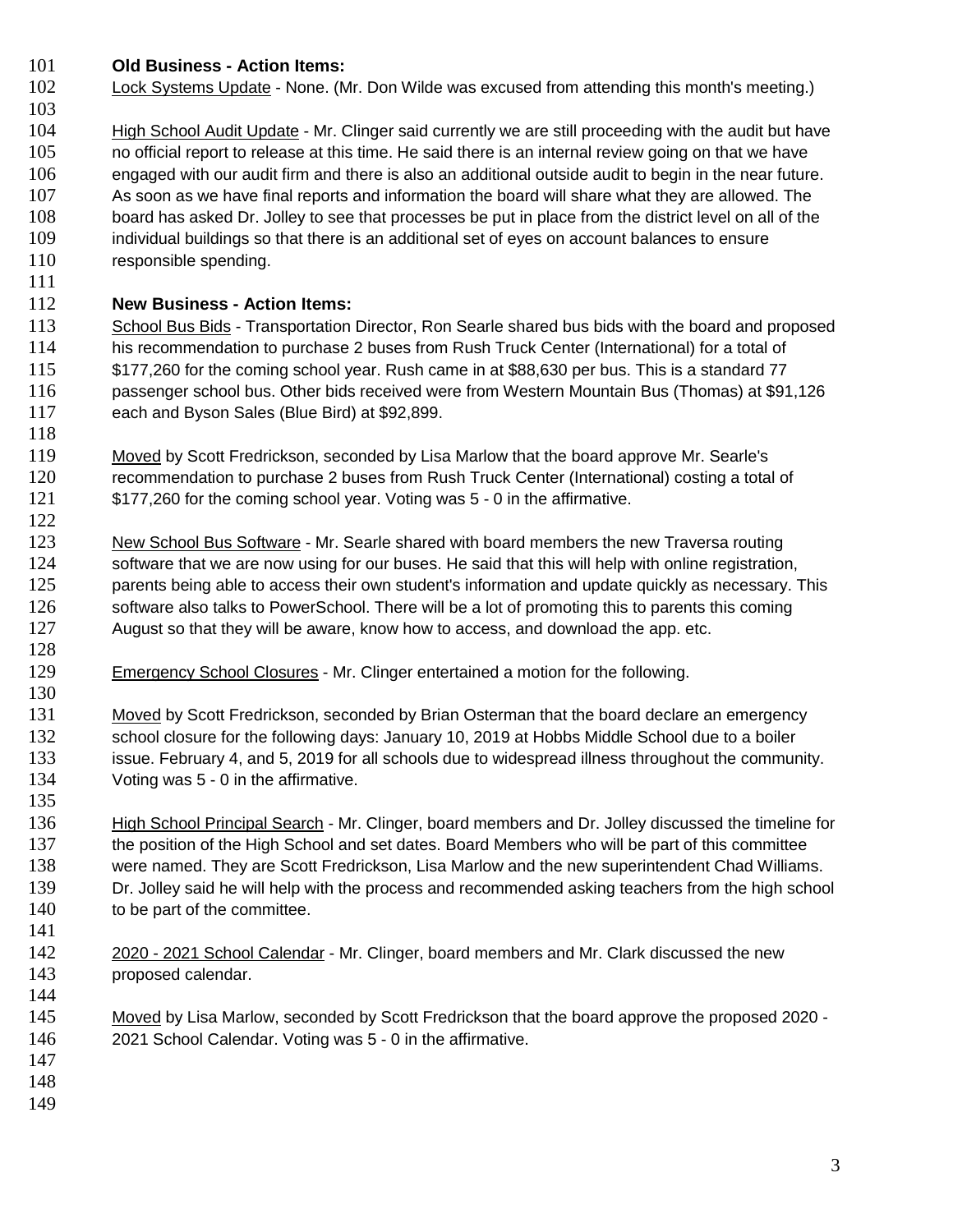### **Old Business - Action Items:**

- 102 Lock Systems Update None. (Mr. Don Wilde was excused from attending this month's meeting.)
- 104 High School Audit Update Mr. Clinger said currently we are still proceeding with the audit but have no official report to release at this time. He said there is an internal review going on that we have engaged with our audit firm and there is also an additional outside audit to begin in the near future. As soon as we have final reports and information the board will share what they are allowed. The board has asked Dr. Jolley to see that processes be put in place from the district level on all of the individual buildings so that there is an additional set of eyes on account balances to ensure 110 responsible spending.

#### **New Business - Action Items:**

- 113 School Bus Bids Transportation Director, Ron Searle shared bus bids with the board and proposed his recommendation to purchase 2 buses from Rush Truck Center (International) for a total of \$177,260 for the coming school year. Rush came in at \$88,630 per bus. This is a standard 77 passenger school bus. Other bids received were from Western Mountain Bus (Thomas) at \$91,126 each and Byson Sales (Blue Bird) at \$92,899.
- 119 Moved by Scott Fredrickson, seconded by Lisa Marlow that the board approve Mr. Searle's recommendation to purchase 2 buses from Rush Truck Center (International) costing a total of \$177,260 for the coming school year. Voting was 5 - 0 in the affirmative.
- 123 New School Bus Software Mr. Searle shared with board members the new Traversa routing  $\frac{122}{123}$ 124 software that we are now using for our buses. He said that this will help with online registration, 125 parents being able to access their own student's information and update quickly as necessary. This 126 software also talks to PowerSchool. There will be a lot of promoting this to parents this coming August so that they will be aware, know how to access, and download the app. etc.
- 129 Emergency School Closures Mr. Clinger entertained a motion for the following.
- Moved by Scott Fredrickson, seconded by Brian Osterman that the board declare an emergency 132 school closure for the following days: January 10, 2019 at Hobbs Middle School due to a boiler issue. February 4, and 5, 2019 for all schools due to widespread illness throughout the community. Voting was 5 - 0 in the affirmative.
- 136 High School Principal Search Mr. Clinger, board members and Dr. Jolley discussed the timeline for the position of the High School and set dates. Board Members who will be part of this committee were named. They are Scott Fredrickson, Lisa Marlow and the new superintendent Chad Williams. Dr. Jolley said he will help with the process and recommended asking teachers from the high school 140 to be part of the committee.
- 142 2020 2021 School Calendar Mr. Clinger, board members and Mr. Clark discussed the new proposed calendar.
- 145 Moved by Lisa Marlow, seconded by Scott Fredrickson that the board approve the proposed 2020 -2021 School Calendar. Voting was 5 - 0 in the affirmative.
- 
- 
-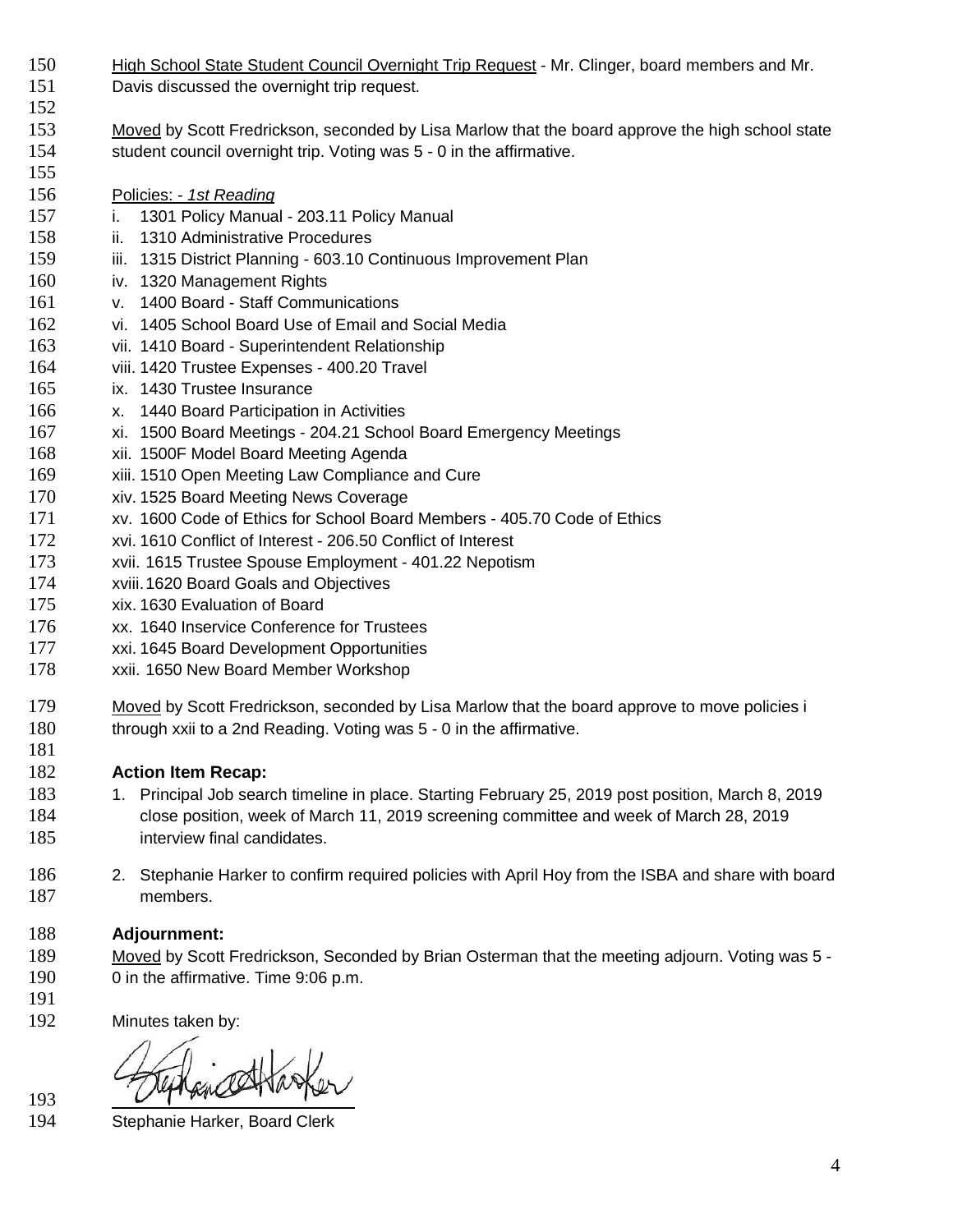- 150 High School State Student Council Overnight Trip Request Mr. Clinger, board members and Mr.
- Davis discussed the overnight trip request.
- Moved by Scott Fredrickson, seconded by Lisa Marlow that the board approve the high school state student council overnight trip. Voting was 5 - 0 in the affirmative.
- Policies: *1st Reading*

- i. 1301 Policy Manual 203.11 Policy Manual
- ii. 1310 Administrative Procedures
- 159 iii. 1315 District Planning 603.10 Continuous Improvement Plan
- iv. 1320 Management Rights
- v. 1400 Board Staff Communications
- vi. 1405 School Board Use of Email and Social Media
- vii. 1410 Board Superintendent Relationship
- viii. 1420 Trustee Expenses 400.20 Travel
- ix. 1430 Trustee Insurance
- x. 1440 Board Participation in Activities
- xi. 1500 Board Meetings 204.21 School Board Emergency Meetings
- xii. 1500F Model Board Meeting Agenda
- xiii. 1510 Open Meeting Law Compliance and Cure
- xiv. 1525 Board Meeting News Coverage
- xv. 1600 Code of Ethics for School Board Members 405.70 Code of Ethics
- xvi. 1610 Conflict of Interest 206.50 Conflict of Interest
- xvii. 1615 Trustee Spouse Employment 401.22 Nepotism
- xviii.1620 Board Goals and Objectives
- xix. 1630 Evaluation of Board
- xx. 1640 Inservice Conference for Trustees
- xxi. 1645 Board Development Opportunities
- xxii. 1650 New Board Member Workshop
- 179 Moved by Scott Fredrickson, seconded by Lisa Marlow that the board approve to move policies i 180 through xxii to a 2nd Reading. Voting was 5 - 0 in the affirmative.

# **Action Item Recap:**

- 1. Principal Job search timeline in place. Starting February 25, 2019 post position, March 8, 2019 close position, week of March 11, 2019 screening committee and week of March 28, 2019 **interview final candidates.**
- 2. Stephanie Harker to confirm required policies with April Hoy from the ISBA and share with board members.

# **Adjournment:**

- Moved by Scott Fredrickson, Seconded by Brian Osterman that the meeting adjourn. Voting was 5 0 in the affirmative. Time 9:06 p.m.
- Minutes taken by:

Stephanie Harker, Board Clerk